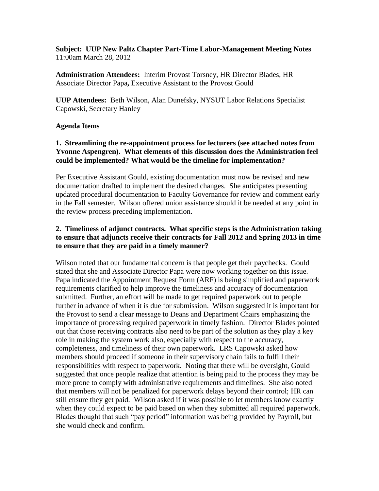**Subject: UUP New Paltz Chapter Part-Time Labor-Management Meeting Notes** 11:00am March 28, 2012

**Administration Attendees:** Interim Provost Torsney, HR Director Blades, HR Associate Director Papa**,** Executive Assistant to the Provost Gould

**UUP Attendees:** Beth Wilson, Alan Dunefsky, NYSUT Labor Relations Specialist Capowski, Secretary Hanley

## **Agenda Items**

## **1. Streamlining the re-appointment process for lecturers (see attached notes from Yvonne Aspengren). What elements of this discussion does the Administration feel could be implemented? What would be the timeline for implementation?**

Per Executive Assistant Gould, existing documentation must now be revised and new documentation drafted to implement the desired changes. She anticipates presenting updated procedural documentation to Faculty Governance for review and comment early in the Fall semester. Wilson offered union assistance should it be needed at any point in the review process preceding implementation.

## **2. Timeliness of adjunct contracts. What specific steps is the Administration taking to ensure that adjuncts receive their contracts for Fall 2012 and Spring 2013 in time to ensure that they are paid in a timely manner?**

Wilson noted that our fundamental concern is that people get their paychecks. Gould stated that she and Associate Director Papa were now working together on this issue. Papa indicated the Appointment Request Form (ARF) is being simplified and paperwork requirements clarified to help improve the timeliness and accuracy of documentation submitted. Further, an effort will be made to get required paperwork out to people further in advance of when it is due for submission. Wilson suggested it is important for the Provost to send a clear message to Deans and Department Chairs emphasizing the importance of processing required paperwork in timely fashion. Director Blades pointed out that those receiving contracts also need to be part of the solution as they play a key role in making the system work also, especially with respect to the accuracy, completeness, and timeliness of their own paperwork. LRS Capowski asked how members should proceed if someone in their supervisory chain fails to fulfill their responsibilities with respect to paperwork. Noting that there will be oversight, Gould suggested that once people realize that attention is being paid to the process they may be more prone to comply with administrative requirements and timelines. She also noted that members will not be penalized for paperwork delays beyond their control; HR can still ensure they get paid. Wilson asked if it was possible to let members know exactly when they could expect to be paid based on when they submitted all required paperwork. Blades thought that such "pay period" information was being provided by Payroll, but she would check and confirm.